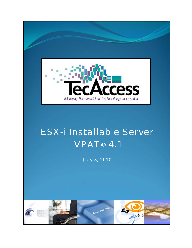

# ESX-i Installable Server **VPAT<sup>®</sup> 4.1**

July 8, 2010

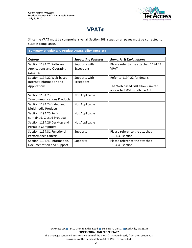I



## **VPAT**®

Since the VPAT must be comprehensive, all Section 508 issues on all pages must be corrected to sustain compliance.

**Summary of Voluntary Product Accessibility Template** 

| <b>Criteria</b>                    | <b>Supporting Features</b> | <b>Remarks &amp; Explanations</b>    |
|------------------------------------|----------------------------|--------------------------------------|
| Section 1194.21 Software           | Supports with              | Please refer to the attached 1194.21 |
| <b>Applications and Operating</b>  | Exceptions                 | VPAT.                                |
| Systems                            |                            |                                      |
| Section 1194.22 Web-based          | Supports with              | Refer to 1194.22 for details.        |
| Internet Information and           | Exceptions                 |                                      |
| Applications                       |                            | The Web based GUI allows limited     |
|                                    |                            | access to ESX-I Installable 4.1      |
| Section 1194.23                    | Not Applicable             |                                      |
| <b>Telecommunications Products</b> |                            |                                      |
| Section 1194.24 Video and          | Not Applicable             |                                      |
| <b>Multimedia Products</b>         |                            |                                      |
| Section 1194.25 Self-              | Not Applicable             |                                      |
| contained, Closed Products         |                            |                                      |
| Section 1194.26 Desktop and        | Not Applicable             |                                      |
| Portable Computers                 |                            |                                      |
| Section 1194.31 Functional         | Supports                   | Please reference the attached        |
| Performance Criteria               |                            | 1194.31 section.                     |
| Section 1194.41 Information,       | Supports                   | Please reference the attached        |
| Documentation and Support          |                            | 1194.41 section.                     |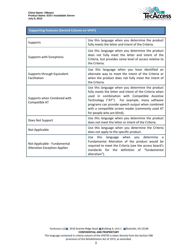

#### **Supporting Features (Second Column on VPAT)**

| Supports                                                            | Use this language when you determine the product<br>fully meets the letter and intent of the Criteria.                                                                                                                                                                                                                                              |
|---------------------------------------------------------------------|-----------------------------------------------------------------------------------------------------------------------------------------------------------------------------------------------------------------------------------------------------------------------------------------------------------------------------------------------------|
| Supports with Exceptions                                            | Use this language when you determine the product<br>does not fully meet the letter and intent of the<br>Criteria, but provides some level of access relative to<br>the Criteria.                                                                                                                                                                    |
| Supports through Equivalent<br>Facilitation                         | Use this language when you have identified an<br>alternate way to meet the intent of the Criteria or<br>when the product does not fully meet the intent of<br>the Criteria.                                                                                                                                                                         |
| Supports when Combined with<br>Compatible AT                        | Use this language when you determine the product<br>fully meets the letter and intent of the Criteria when<br>used in combination with Compatible Assistive<br>Technology ("AT"). For example, many software<br>programs can provide speech output when combined<br>with a compatible screen reader (commonly used AT<br>for people who are blind). |
| Does Not Support                                                    | Use this language when you determine the product<br>does not meet the letter or intent of the Criteria.                                                                                                                                                                                                                                             |
| Not Applicable                                                      | Use this language when you determine the Criteria<br>does not apply to the specific product.                                                                                                                                                                                                                                                        |
| Not Applicable - Fundamental<br><b>Alteration Exception Applies</b> | language when you determine<br><b>Use</b><br>this<br>a<br>Fundamental Alteration of the product would be<br>required to meet the Criteria (see the access board's<br>definition of "fundamental<br>standards<br>for the<br>alteration").                                                                                                            |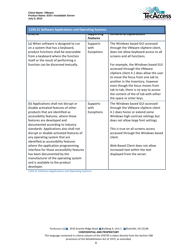

| 1194.21 Software Applications and Operating Systems                                                                                                                                                                                                                                                                                                                                                                                                                                                                                                                                               |                                         |                                                                                                                                                                                                                                                                                                                                                                                                                                                                                        |  |
|---------------------------------------------------------------------------------------------------------------------------------------------------------------------------------------------------------------------------------------------------------------------------------------------------------------------------------------------------------------------------------------------------------------------------------------------------------------------------------------------------------------------------------------------------------------------------------------------------|-----------------------------------------|----------------------------------------------------------------------------------------------------------------------------------------------------------------------------------------------------------------------------------------------------------------------------------------------------------------------------------------------------------------------------------------------------------------------------------------------------------------------------------------|--|
| पासाप                                                                                                                                                                                                                                                                                                                                                                                                                                                                                                                                                                                             | <del>วนpportmy</del><br><b>Features</b> | <del>nemarks &amp; Explanations</del>                                                                                                                                                                                                                                                                                                                                                                                                                                                  |  |
| (a) When software is designed to run<br>on a system that has a keyboard,<br>product functions shall be executable<br>from a keyboard where the function<br>itself or the result of performing a<br>function can be discerned textually.                                                                                                                                                                                                                                                                                                                                                           | Supports<br>with<br>Exceptions          | The Windows based GUI accessed<br>through the VMware vSphere client,<br>does not allow keyboard access to all<br>screens and all functions.<br>For example, the Windows based GUI<br>accessed through the VMware<br>vSphere client 4.1 does allow the user<br>to move the focus from one tab to<br>another in the Inventory, however<br>even though the focus moves from<br>tab to tab, there is no way to access<br>the content of the of tab with either<br>the space or enter keys. |  |
| (b) Applications shall not disrupt or<br>disable activated features of other<br>products that are identified as<br>accessibility features, where those<br>features are developed and<br>documented according to industry<br>standards. Applications also shall not<br>disrupt or disable activated features of<br>any operating system that are<br>identified as accessibility features<br>where the application programming<br>interface for those accessibility features<br>has been documented by the<br>manufacturer of the operating system<br>and is available to the product<br>developer. | Supports<br>with<br>Exceptions          | The Windows based GUI accessed<br>through the VMware vSphere client<br>4.1 does honor or extend some<br>Windows high contrast settings but<br>does not allow large font settings.<br>This is true on all screens access<br>accessed through the Windows based<br>client.<br>Web Based Client does not allow<br>increased text within the text<br>displayed from the server.                                                                                                            |  |

1194.21 Software Applications and Operating Systems

TecAccess LLC 2410 Granite Ridge Road Building A, Unit 1 Rockville, VA 23146 **CONFIDENTIAL AND PROPRIETARY** The language contained in criteria column of the VPAT© is taken directly from the Section 508

provisions of the Rehabilitation Act of 1973, as amended.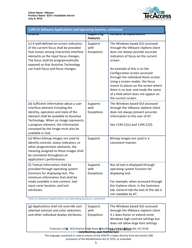

| 1194.21 Software Applications and Operating Systems, continued                                                                                                                                                                                                                                          |                                         |                                                                                                                                                                                                                                                                                                                                                                                      |  |
|---------------------------------------------------------------------------------------------------------------------------------------------------------------------------------------------------------------------------------------------------------------------------------------------------------|-----------------------------------------|--------------------------------------------------------------------------------------------------------------------------------------------------------------------------------------------------------------------------------------------------------------------------------------------------------------------------------------------------------------------------------------|--|
| पास्ताप                                                                                                                                                                                                                                                                                                 | <del>วนpportmy</del><br><b>Features</b> | <del>nemarks &amp; Explanations</del>                                                                                                                                                                                                                                                                                                                                                |  |
| (c) A well-defined on-screen indication<br>of the current focus shall be provided<br>that moves among interactive interface<br>elements as the input focus changes.<br>The focus shall be programmatically<br>exposed so that Assistive Technology<br>can track focus and focus changes.                | Supports<br>with<br>Exceptions          | The Windows based GUI accessed<br>through the VMware vSphere client<br>does not always provide accurate<br>indicators of focus on the current<br>screen.<br>An example of this is on the<br>Configuration screen accessed<br>through the individual Hosts screen.<br>Using a screen reader, the focus<br>moves to places on the screen where<br>there is no text, and reads the name |  |
|                                                                                                                                                                                                                                                                                                         |                                         | of a field which does not appear on<br>the current screen.                                                                                                                                                                                                                                                                                                                           |  |
| (d) Sufficient information about a user<br>interface element including the<br>identity, operation and state of the<br>element shall be available to Assistive<br>Technology. When an image represents<br>a program element, the information<br>conveyed by the image must also be<br>available in text. | Supports<br>with<br>Exceptions          | The Windows based GUI accessed<br>through the VMware vSphere client<br>does not always present accurate<br>information to the user of AT.<br>See 1194.21(c) and 1194.21(f).                                                                                                                                                                                                          |  |
| (e) When bitmap images are used to<br>identify controls, status indicators, or<br>other programmatic elements, the<br>meaning assigned to those images shall<br>be consistent throughout an<br>application's performance.                                                                               | Supports                                | Bitmap images are used in a<br>consistent manner.                                                                                                                                                                                                                                                                                                                                    |  |
| (f) Textual information shall be<br>provided through operating system<br>functions for displaying text. The<br>minimum information that shall be<br>made available is text content, text<br>input caret location, and text<br>attributes.                                                               | Supports<br>with<br>Exceptions          | Not all text is displayed through<br>operating system function for<br>displaying text.<br>For example, when accessed through<br>the Vsphere client, in the Summary<br>tab, General tab the text of the tab is<br>not readable by AT.                                                                                                                                                 |  |

1194.21 Software Applications and Operating Systems, continued

| (g) Applications shall not override user<br>selected contrast and color selections<br>and other individual display attributes. | Supports<br>with<br>Exceptions | The Windows based GUI accessed<br>through the VMware vSphere client<br>4.1 does honor or extend some<br>Windows high contrast settings but<br>does not allow large font settings. |
|--------------------------------------------------------------------------------------------------------------------------------|--------------------------------|-----------------------------------------------------------------------------------------------------------------------------------------------------------------------------------|
|                                                                                                                                | CONFIDENTIAL AND PROPRIETARY   | TecAccess LLC 2410 Granite Ridge Road Building & United 2 Rest wille, VA 23146                                                                                                    |

The language contained in criteria column of the VPAT© is taken directly from the Section 508 provisions of the Rehabilitation Act of 1973, as amended.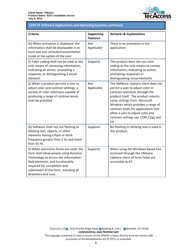

### 1194.21 Software Applications and Operating Systems, continued

| <b>Criteria</b>                                                                                                                                                                                                                                                  | <b>Supporting</b><br><b>Features</b> | <b>Remarks &amp; Explanations</b>                                                                                                                                                                                                                                                                                                                   |
|------------------------------------------------------------------------------------------------------------------------------------------------------------------------------------------------------------------------------------------------------------------|--------------------------------------|-----------------------------------------------------------------------------------------------------------------------------------------------------------------------------------------------------------------------------------------------------------------------------------------------------------------------------------------------------|
| (h) When animation is displayed, the<br>information shall be displayable in at<br>least one non-animated presentation<br>mode at the option of the user.                                                                                                         | <b>Not</b><br>Applicable             | There is no animation in the<br>application.                                                                                                                                                                                                                                                                                                        |
| (i) Color coding shall not be used as the<br>only means of conveying information,<br>indicating an action, prompting a<br>response, or distinguishing a visual<br>element.                                                                                       | Supports                             | This product does not use color<br>coding as the only means to convey<br>information, indicating an action,<br>prompting responses or<br>distinguishing visual elements.                                                                                                                                                                            |
| (j) When a product permits a user to<br>adjust color and contrast settings, a<br>variety of color selections capable of<br>producing a range of contrast levels<br>shall be provided.                                                                            | <b>Not</b><br>Applicable             | The VMWare vSphere client does not<br>permit a user to adjust color or<br>contrast selections through the<br>product itself. The product inherits<br>some settings from Microsoft<br>Windows which provides a range of<br>contrast levels for applications that<br>allow a user to adjust color and<br>contrast settings see 1194.21(g) and<br>(a). |
| (k) Software shall not use flashing or<br>blinking text, objects, or other<br>elements having a flash or blink<br>frequency greater than 2 Hz and lower<br>than 55 Hz.                                                                                           | Supports                             | No flashing or blinking text is used in<br>this product.                                                                                                                                                                                                                                                                                            |
| (I) When electronic forms are used, the<br>form shall allow people using Assistive<br>Technology to access the information,<br>field elements, and functionality<br>required for completion and<br>submission of the form, including all<br>directions and cues. | Supports                             | When using the Windows based GUI<br>accessed through the VMware<br>vSphere client all form fields are<br>accessible to AT.                                                                                                                                                                                                                          |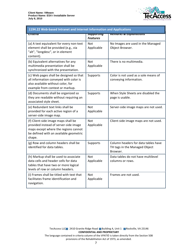

| 1194.22 Web-based Intranet and Internet Information and Applications                                                                                                     |                                         |                                                                                  |  |
|--------------------------------------------------------------------------------------------------------------------------------------------------------------------------|-----------------------------------------|----------------------------------------------------------------------------------|--|
| पााएगाव                                                                                                                                                                  | <del>วนpportmy</del><br><b>Features</b> | <b>Remarks &amp; Explanations</b>                                                |  |
| (a) A text equivalent for every non-text<br>element shall be provided (e.g., via<br>"alt", "longdesc", or in element<br>content).                                        | Not<br>Applicable                       | No Images are used in the Managed<br>Object Browser.                             |  |
| (b) Equivalent alternatives for any<br>multimedia presentation shall be<br>synchronized with the presentation.                                                           | <b>Not</b><br>Applicable                | There is no multimedia.                                                          |  |
| (c) Web pages shall be designed so that<br>all information conveyed with color is<br>also available without color, for<br>example from context or markup.                | Supports                                | Color is not used as a sole means of<br>conveying information.                   |  |
| (d) Documents shall be organized so<br>they are readable without requiring an<br>associated style sheet.                                                                 | Supports                                | When Style Sheets are disabled the<br>page is usable.                            |  |
| (e) Redundant text links shall be<br>provided for each active region of a<br>server-side image map.                                                                      | <b>Not</b><br>Applicable                | Server-side image maps are not used.                                             |  |
| (f) Client-side image maps shall be<br>provided instead of server-side image<br>maps except where the regions cannot<br>be defined with an available geometric<br>shape. | Not<br>Applicable                       | Client-side image maps are not used.                                             |  |
| (g) Row and column headers shall be<br>identified for data tables.                                                                                                       | Supports                                | Column headers for data tables have<br>TH tags in the Managed Object<br>Browser. |  |
| (h) Markup shall be used to associate<br>data cells and header cells for data<br>tables that have two or more logical<br>levels of row or column headers.                | <b>Not</b><br>Applicable                | Data tables do not have multilevel<br>columns or rows.                           |  |
| (i) Frames shall be titled with text that<br>facilitates frame identification and<br>navigation.                                                                         | Not<br>Applicable                       | Frames are not used.                                                             |  |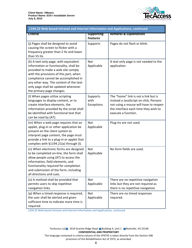

| 1194.22 Web-based Intranet and Internet Information and Applications, continued                                                                                                                                                                                                                                        |                                      |                                                                                                                                                                                        |  |
|------------------------------------------------------------------------------------------------------------------------------------------------------------------------------------------------------------------------------------------------------------------------------------------------------------------------|--------------------------------------|----------------------------------------------------------------------------------------------------------------------------------------------------------------------------------------|--|
| <del>Criteria</del>                                                                                                                                                                                                                                                                                                    | <b>Supporting</b><br><b>Features</b> | <b>Remarks &amp; Explanations</b>                                                                                                                                                      |  |
| (j) Pages shall be designed to avoid<br>causing the screen to flicker with a<br>frequency greater than 2 Hz and lower<br>than 55 Hz.                                                                                                                                                                                   | Supports                             | Pages do not flash or blink.                                                                                                                                                           |  |
| (k) A text-only page, with equivalent<br>information or functionality, shall be<br>provided to make a web site comply<br>with the provisions of this part, when<br>compliance cannot be accomplished in<br>any other way. The content of the text-<br>only page shall be updated whenever<br>the primary page changes. | Not<br>Applicable                    | A text only page is not needed to the<br>application                                                                                                                                   |  |
| (I) When pages utilize scripting<br>languages to display content, or to<br>create interface elements, the<br>information provided by the script shall<br>be identified with functional text that<br>can be read by (AT).                                                                                               | Supports<br>with<br>Exceptions       | The "home" link is not a link but is<br>instead a JavaScript on click, Persons<br>not using a mouse will have to reopen<br>the interface each time they wish to<br>execute a function. |  |
| (m) When a web page requires that an<br>applet, plug-in or other application be<br>present on the client system to<br>interpret page content, the page must<br>provide a link to a plug-in or applet that<br>complies with §1194.21(a) through (I).                                                                    | Not<br>Applicable                    | Plug-ins are not used.                                                                                                                                                                 |  |
| (n) When electronic forms are designed<br>to be completed on-line, the form shall<br>allow people using (AT) to access the<br>information, field elements, and<br>functionality required for completion<br>and submission of the form, including<br>all directions and cues.                                           | Not<br>Applicable                    | No form fields are used.                                                                                                                                                               |  |
| (o) A method shall be provided that<br>permits users to skip repetitive<br>navigation links.                                                                                                                                                                                                                           | Not<br>Applicable                    | There are no repetitive navigation<br>links but they are not required as<br>there is no repetitive navigation.                                                                         |  |
| (p) When a timed response is required,<br>the user shall be alerted and given<br>sufficient time to indicate more time is<br>required.                                                                                                                                                                                 | Not<br>Applicable                    | There are no timed responses<br>required.                                                                                                                                              |  |

1194.22 Web-based Intranet and Internet Information and Applications, continued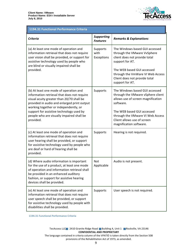I



#### 1194.31 Functional Performance Criteria

| <b>Criteria</b>                                                                                                                                                                                                                                                                                                                  | <b>Supporting</b><br><b>Features</b> | <b>Remarks &amp; Explanations</b>                                                                                                                                                                                                                  |
|----------------------------------------------------------------------------------------------------------------------------------------------------------------------------------------------------------------------------------------------------------------------------------------------------------------------------------|--------------------------------------|----------------------------------------------------------------------------------------------------------------------------------------------------------------------------------------------------------------------------------------------------|
| (a) At least one mode of operation and<br>information retrieval that does not require<br>user vision shall be provided, or support for<br>assistive technology used by people who<br>are blind or visually impaired shall be<br>provided.                                                                                        | Supports<br>with<br>Exceptions       | The Windows based GUI accessed<br>through the VMware VvSphere<br>client does not provide total<br>support for AT.<br>The WEB based GUI accessed<br>through the VmWare VI Web Access<br>Client does not provide total<br>support for AT.            |
| (b) At least one mode of operation and<br>information retrieval that does not require<br>visual acuity greater than 20/70 shall be<br>provided in audio and enlarged print output<br>working together or independently, or<br>support for assistive technology used by<br>people who are visually impaired shall be<br>provided. | Supports                             | The Windows based GUI accessed<br>through the VMware vSphere client<br>allows use of screen magnification<br>software.<br>The WEB based GUI accessed<br>through the VMware VI Web Access<br>Client allows use of screen<br>magnification software. |
| (c) At least one mode of operation and<br>information retrieval that does not require<br>user hearing shall be provided, or support<br>for assistive technology used by people who<br>are deaf or hard of hearing shall be<br>provided.                                                                                          | Supports                             | Hearing is not required.                                                                                                                                                                                                                           |
| (d) Where audio information is important<br>for the use of a product, at least one mode<br>of operation and information retrieval shall<br>be provided in an enhanced auditory<br>fashion, or support for assistive hearing<br>devices shall be provided.                                                                        | Not<br>Applicable                    | Audio is not present.                                                                                                                                                                                                                              |
| (e) At least one mode of operation and<br>information retrieval that does not require<br>user speech shall be provided, or support<br>for assistive technology used by people with<br>disabilities shall be provided.                                                                                                            | Supports                             | User speech is not required.                                                                                                                                                                                                                       |

1194.31 Functional Performance Criteria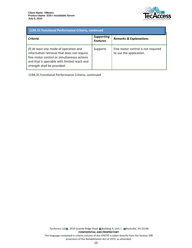

| 1194.31 Functional Performance Criteria, continued                                                                                                                                                                |                                      |                                                               |
|-------------------------------------------------------------------------------------------------------------------------------------------------------------------------------------------------------------------|--------------------------------------|---------------------------------------------------------------|
| Criteria                                                                                                                                                                                                          | <b>Supporting</b><br><b>Features</b> | <b>Remarks &amp; Explanations</b>                             |
| (f) At least one mode of operation and<br>information retrieval that does not require<br>fine motor control or simultaneous actions<br>and that is operable with limited reach and<br>strength shall be provided. | Supports                             | Fine motor control is not required<br>to use the application. |

1194.31 Functional Performance Criteria, continued